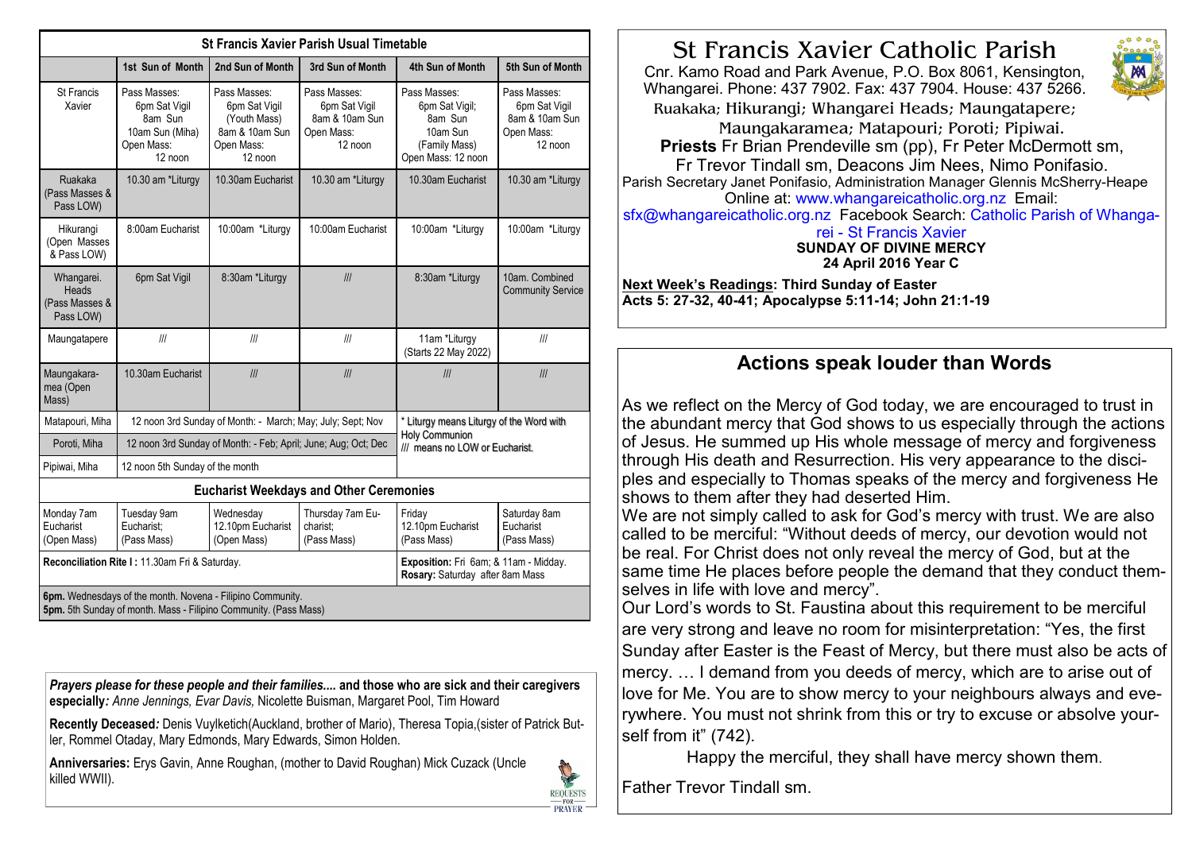| <b>St Francis Xavier Parish Usual Timetable</b>                                                                                |                                                                                      |                                                                                          |                                                                          |                                                                                                     |                                                                          |  |
|--------------------------------------------------------------------------------------------------------------------------------|--------------------------------------------------------------------------------------|------------------------------------------------------------------------------------------|--------------------------------------------------------------------------|-----------------------------------------------------------------------------------------------------|--------------------------------------------------------------------------|--|
|                                                                                                                                | 1st Sun of Month                                                                     | 2nd Sun of Month                                                                         | 3rd Sun of Month                                                         | 4th Sun of Month                                                                                    | 5th Sun of Month                                                         |  |
| <b>St Francis</b><br>Xavier                                                                                                    | Pass Masses:<br>6pm Sat Vigil<br>8am Sun<br>10am Sun (Miha)<br>Open Mass:<br>12 noon | Pass Masses:<br>6pm Sat Vigil<br>(Youth Mass)<br>8am & 10am Sun<br>Open Mass:<br>12 noon | Pass Masses:<br>6pm Sat Vigil<br>8am & 10am Sun<br>Open Mass:<br>12 noon | Pass Masses:<br>6pm Sat Vigil;<br>8am Sun<br>10am Sun<br>(Family Mass)<br>Open Mass: 12 noon        | Pass Masses:<br>6pm Sat Vigil<br>8am & 10am Sun<br>Open Mass:<br>12 noon |  |
| Ruakaka<br>(Pass Masses &<br>Pass LOW)                                                                                         | 10.30 am *Liturgy                                                                    | 10.30am Eucharist                                                                        | 10.30 am *Liturgy                                                        | 10.30am Eucharist                                                                                   | 10.30 am *Liturgy                                                        |  |
| Hikurangi<br>(Open Masses<br>& Pass LOW)                                                                                       | 8:00am Eucharist                                                                     | 10:00am *Liturgy                                                                         | 10:00am Eucharist                                                        | 10:00am *Liturgy                                                                                    | 10:00am *Liturgy                                                         |  |
| Whangarei.<br>Heads<br>(Pass Masses &<br>Pass LOW)                                                                             | 6pm Sat Vigil                                                                        | 8:30am *Liturgy                                                                          | III                                                                      | 8:30am *Liturgy                                                                                     | 10am. Combined<br><b>Community Service</b>                               |  |
| Maungatapere                                                                                                                   | III                                                                                  | III                                                                                      | III                                                                      | 11am *Liturgy<br>(Starts 22 May 2022)                                                               | III                                                                      |  |
| Maungakara-<br>mea (Open<br>Mass)                                                                                              | 10.30am Eucharist                                                                    | III                                                                                      | III                                                                      | III                                                                                                 | III                                                                      |  |
| Matapouri, Miha                                                                                                                | 12 noon 3rd Sunday of Month: - March; May; July; Sept; Nov                           |                                                                                          |                                                                          | * Liturgy means Liturgy of the Word with<br><b>Holy Communion</b><br>III means no LOW or Eucharist. |                                                                          |  |
| Poroti, Miha                                                                                                                   | 12 noon 3rd Sunday of Month: - Feb; April; June; Aug; Oct; Dec                       |                                                                                          |                                                                          |                                                                                                     |                                                                          |  |
| Pipiwai, Miha                                                                                                                  | 12 noon 5th Sunday of the month                                                      |                                                                                          |                                                                          |                                                                                                     |                                                                          |  |
| <b>Eucharist Weekdays and Other Ceremonies</b>                                                                                 |                                                                                      |                                                                                          |                                                                          |                                                                                                     |                                                                          |  |
| Monday 7am<br>Eucharist<br>(Open Mass)                                                                                         | Tuesday 9am<br>Eucharist:<br>(Pass Mass)                                             | Wednesday<br>12.10pm Eucharist<br>(Open Mass)                                            | Thursday 7am Eu-<br>charist:<br>(Pass Mass)                              | Friday<br>12.10pm Eucharist<br>(Pass Mass)                                                          | Saturday 8am<br>Eucharist<br>(Pass Mass)                                 |  |
| Reconciliation Rite I: 11.30am Fri & Saturday.                                                                                 |                                                                                      |                                                                                          |                                                                          | Exposition: Fri 6am; & 11am - Midday.<br>Rosary: Saturday after 8am Mass                            |                                                                          |  |
| 6pm. Wednesdays of the month. Novena - Filipino Community.<br>5pm. 5th Sunday of month. Mass - Filipino Community. (Pass Mass) |                                                                                      |                                                                                          |                                                                          |                                                                                                     |                                                                          |  |

Prayers please for these people and their families.... and those who are sick and their caregivers especially: Anne Jennings, Evar Davis, Nicolette Buisman, Margaret Pool, Tim Howard

Recently Deceased: Denis Vuylketich(Auckland, brother of Mario), Theresa Topia,(sister of Patrick Butler, Rommel Otaday, Mary Edmonds, Mary Edwards, Simon Holden.

Anniversaries: Erys Gavin, Anne Roughan, (mother to David Roughan) Mick Cuzack (Uncle killed WWII).



# St Francis Xavier Catholic Parish

Cnr. Kamo Road and Park Avenue, P.O. Box 8061, Kensington, Whangarei. Phone: 437 7902. Fax: 437 7904. House: 437 5266. Ruakaka; Hikurangi; Whangarei Heads; Maungatapere;



Parish Secretary Janet Ponifasio, Administration Manager Glennis McSherry-Heape Online at: www.whangareicatholic.org.nz Email:

sfx@whangareicatholic.org.nz Facebook Search: Catholic Parish of Whanga-

#### rei - St Francis Xavier SUNDAY OF DIVINE MERCY 24 April 2016 Year C

Next Week's Readings: Third Sunday of Easter Acts 5: 27-32, 40-41; Apocalypse 5:11-14; John 21:1-19

## Actions speak louder than Words

As we reflect on the Mercy of God today, we are encouraged to trust in the abundant mercy that God shows to us especially through the actions of Jesus. He summed up His whole message of mercy and forgiveness through His death and Resurrection. His very appearance to the disciples and especially to Thomas speaks of the mercy and forgiveness He shows to them after they had deserted Him.

We are not simply called to ask for God's mercy with trust. We are also called to be merciful: "Without deeds of mercy, our devotion would not be real. For Christ does not only reveal the mercy of God, but at the same time He places before people the demand that they conduct themselves in life with love and mercy".

Our Lord's words to St. Faustina about this requirement to be merciful are very strong and leave no room for misinterpretation: "Yes, the first Sunday after Easter is the Feast of Mercy, but there must also be acts of mercy, ... I demand from you deeds of mercy, which are to arise out of love for Me. You are to show mercy to your neighbours always and everywhere. You must not shrink from this or try to excuse or absolve yourself from it" (742).

Happy the merciful, they shall have mercy shown them.

Father Trevor Tindall sm